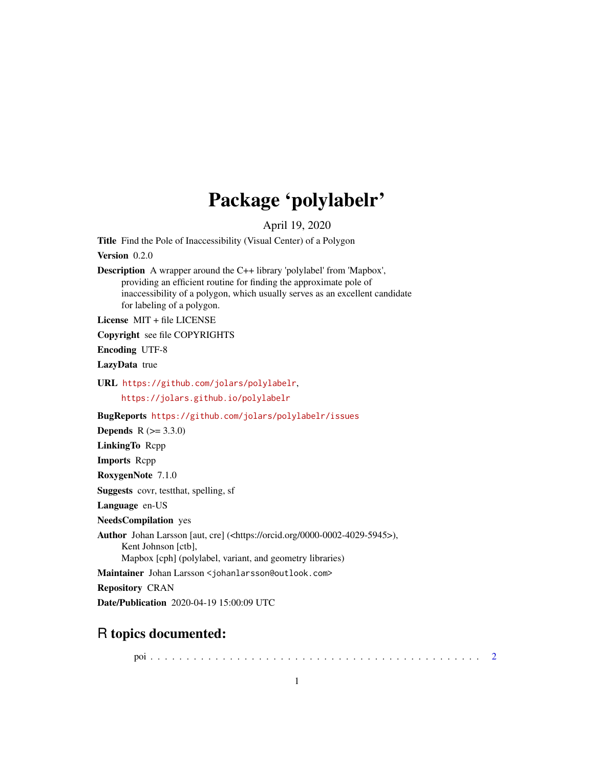## Package 'polylabelr'

April 19, 2020

<span id="page-0-0"></span>Title Find the Pole of Inaccessibility (Visual Center) of a Polygon

Version 0.2.0

Description A wrapper around the C++ library 'polylabel' from 'Mapbox', providing an efficient routine for finding the approximate pole of inaccessibility of a polygon, which usually serves as an excellent candidate for labeling of a polygon.

License MIT + file LICENSE

Copyright see file COPYRIGHTS

Encoding UTF-8

LazyData true

URL <https://github.com/jolars/polylabelr>, <https://jolars.github.io/polylabelr>

BugReports <https://github.com/jolars/polylabelr/issues>

**Depends**  $R (= 3.3.0)$ 

LinkingTo Rcpp

Imports Rcpp

RoxygenNote 7.1.0

Suggests covr, testthat, spelling, sf

Language en-US

NeedsCompilation yes

Author Johan Larsson [aut, cre] (<https://orcid.org/0000-0002-4029-5945>),

Kent Johnson [ctb],

Mapbox [cph] (polylabel, variant, and geometry libraries)

Maintainer Johan Larsson <johanlarsson@outlook.com>

Repository CRAN

Date/Publication 2020-04-19 15:00:09 UTC

### R topics documented:

poi . . . . . . . . . . . . . . . . . . . . . . . . . . . . . . . . . . . . . . . . . . . . . . [2](#page-1-0)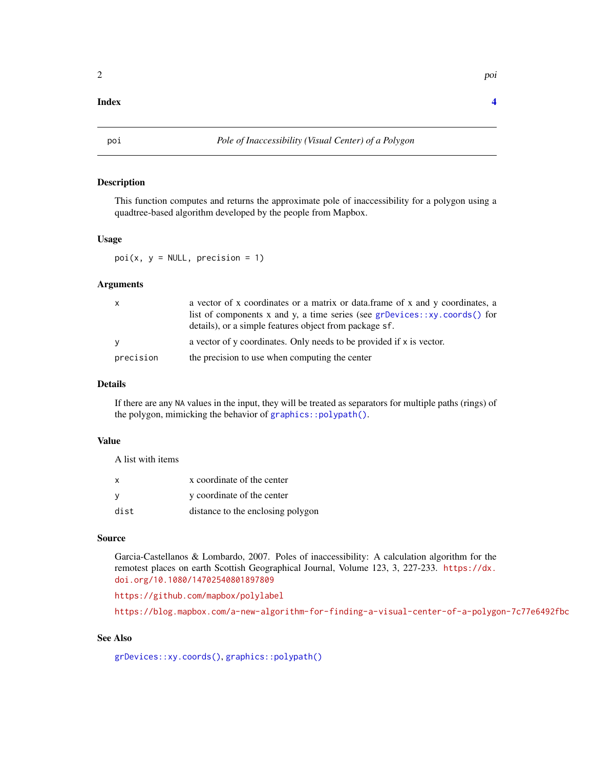#### <span id="page-1-0"></span>**Index** [4](#page-3-0)

#### Description

This function computes and returns the approximate pole of inaccessibility for a polygon using a quadtree-based algorithm developed by the people from Mapbox.

#### Usage

 $poi(x, y = NULL, precision = 1)$ 

#### Arguments

| $\mathsf{X}$ | a vector of x coordinates or a matrix or data frame of x and y coordinates, a<br>list of components x and y, a time series (see grDevices: : xy. coords () for<br>details), or a simple features object from package sf. |
|--------------|--------------------------------------------------------------------------------------------------------------------------------------------------------------------------------------------------------------------------|
| <b>V</b>     | a vector of y coordinates. Only needs to be provided if x is vector.                                                                                                                                                     |
| precision    | the precision to use when computing the center                                                                                                                                                                           |

#### Details

If there are any NA values in the input, they will be treated as separators for multiple paths (rings) of the polygon, mimicking the behavior of [graphics::polypath\(\)](#page-0-0).

#### Value

A list with items

| x    | x coordinate of the center        |
|------|-----------------------------------|
| ν    | y coordinate of the center        |
| dist | distance to the enclosing polygon |

#### Source

Garcia-Castellanos & Lombardo, 2007. Poles of inaccessibility: A calculation algorithm for the remotest places on earth Scottish Geographical Journal, Volume 123, 3, 227-233. [https://dx.](https://dx.doi.org/10.1080/14702540801897809) [doi.org/10.1080/14702540801897809](https://dx.doi.org/10.1080/14702540801897809)

<https://github.com/mapbox/polylabel>

<https://blog.mapbox.com/a-new-algorithm-for-finding-a-visual-center-of-a-polygon-7c77e6492fbc>

#### See Also

[grDevices::xy.coords\(\)](#page-0-0), [graphics::polypath\(\)](#page-0-0)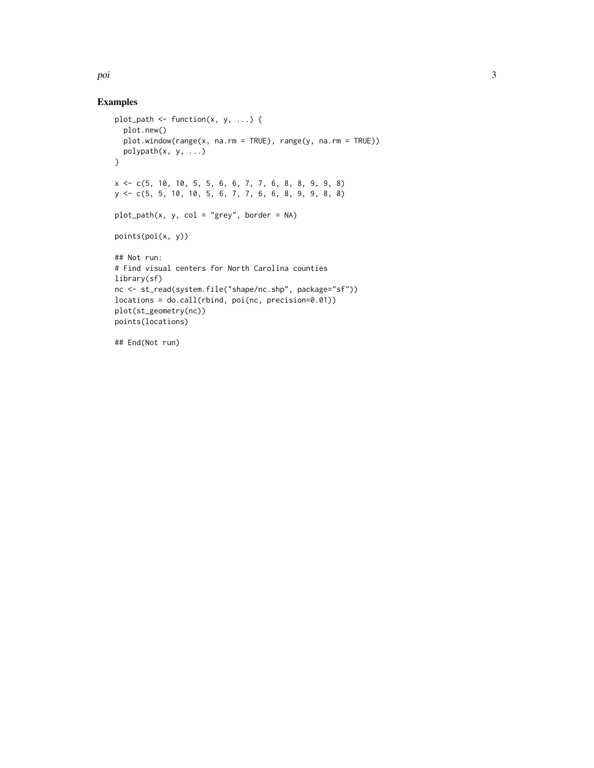poi de la seu de la seu de la seu de la seu de la seu de la seu de la seu de la seu de la seu de la seu de la

#### Examples

```
plot_path <- function(x, y, ...) {
 plot.new()
 plot.window(range(x, na.rm = TRUE), range(y, na.rm = TRUE))
 polypath(x, y, ...)
}
x <- c(5, 10, 10, 5, 5, 6, 6, 7, 7, 6, 8, 8, 9, 9, 8)
y <- c(5, 5, 10, 10, 5, 6, 7, 7, 6, 6, 8, 9, 9, 8, 8)
plot_path(x, y, col = "grey", border = NA)
points(poi(x, y))
## Not run:
# Find visual centers for North Carolina counties
library(sf)
nc <- st_read(system.file("shape/nc.shp", package="sf"))
locations = do.call(rbind, poi(nc, precision=0.01))
plot(st_geometry(nc))
points(locations)
```
## End(Not run)